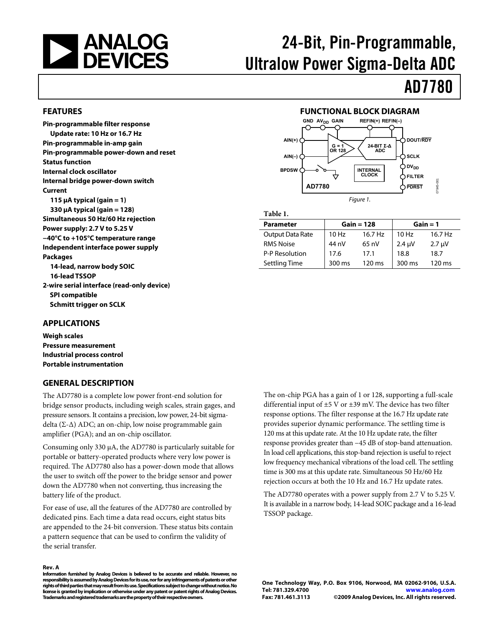<span id="page-0-1"></span><span id="page-0-0"></span>

# 24-Bit, Pin-Programmable, Ultralow Power Sigma-Delta ADC

# AD7780

#### **FEATURES**

**Pin-programmable filter response Update rate: 10 Hz or 16.7 Hz Pin-programmable in-amp gain Pin-programmable power-down and reset Status function Internal clock oscillator Internal bridge power-down switch Current 115 μA typical (gain = 1) 330 μA typical (gain = 128) Simultaneous 50 Hz/60 Hz rejection Power supply: 2.7 V to 5.25 V −40°C to +105°C temperature range Independent interface power supply Packages 14-lead, narrow body SOIC 16-lead TSSOP 2-wire serial interface (read-only device) SPI compatible Schmitt trigger on SCLK** 

#### **FUNCTIONAL BLOCK DIAGRAM**



**Table 1.** 

| <b>Parameter</b>        |        | $Gain = 128$     |                  | $Gain = 1$  |
|-------------------------|--------|------------------|------------------|-------------|
| <b>Output Data Rate</b> | 10 Hz  | 16.7 Hz          | 10 Hz            | 16.7 Hz     |
| <b>RMS Noise</b>        | 44 nV  | $65 \text{ nV}$  | $2.4 \mu V$      | $2.7 \mu V$ |
| P-P Resolution          | 17.6   | 17.1             | 18.8             | 18.7        |
| <b>Settling Time</b>    | 300 ms | $120 \text{ ms}$ | $300 \text{ ms}$ | 120 ms      |

#### **APPLICATIONS**

**Weigh scales Pressure measurement Industrial process control Portable instrumentation** 

#### **GENERAL DESCRIPTION**

The AD7780 is a complete low power front-end solution for bridge sensor products, including weigh scales, strain gages, and pressure sensors. It contains a precision, low power, 24-bit sigmadelta (Σ-Δ) ADC; an on-chip, low noise programmable gain amplifier (PGA); and an on-chip oscillator.

Consuming only 330 μA, the AD7780 is particularly suitable for portable or battery-operated products where very low power is required. The AD7780 also has a power-down mode that allows the user to switch off the power to the bridge sensor and power down the AD7780 when not converting, thus increasing the battery life of the product.

For ease of use, all the features of the AD7780 are controlled by dedicated pins. Each time a data read occurs, eight status bits are appended to the 24-bit conversion. These status bits contain a pattern sequence that can be used to confirm the validity of the serial transfer.

#### **Rev. A**

**Information furnished by Analog Devices is believed to be accurate and reliable. However, no responsibility is assumed by Analog Devices for its use, nor for any infringements of patents or other rights of third parties that may result from its use. Specifications subject to change without notice. No license is granted by implication or otherwise under any patent or patent rights of Analog Devices. Trademarks and registered trademarks are the property of their respective owners.** 

The on-chip PGA has a gain of 1 or 128, supporting a full-scale differential input of ±5 V or ±39 mV. The device has two filter response options. The filter response at the 16.7 Hz update rate provides superior dynamic performance. The settling time is 120 ms at this update rate. At the 10 Hz update rate, the filter response provides greater than −45 dB of stop-band attenuation. In load cell applications, this stop-band rejection is useful to reject low frequency mechanical vibrations of the load cell. The settling time is 300 ms at this update rate. Simultaneous 50 Hz/60 Hz rejection occurs at both the 10 Hz and 16.7 Hz update rates.

The AD7780 operates with a power supply from 2.7 V to 5.25 V. It is available in a narrow body, 14-lead SOIC package and a 16-lead TSSOP package.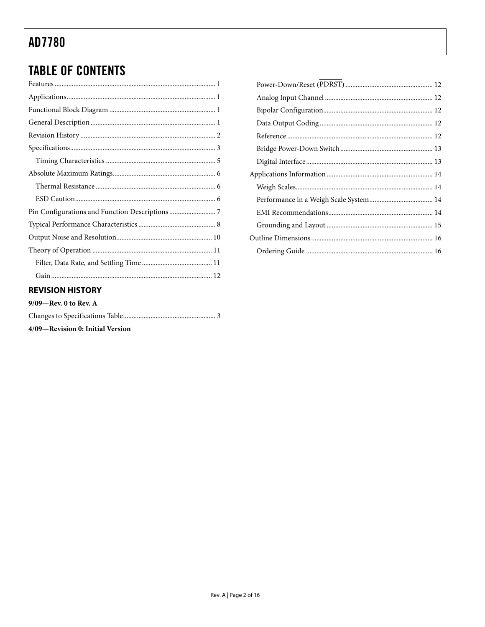# <span id="page-1-0"></span>**TABLE OF CONTENTS**

| . |
|---|

#### **REVISION HISTORY**

| $9/09$ —Rev. 0 to Rev. A |  |
|--------------------------|--|
|                          |  |

4/09-Revision 0: Initial Version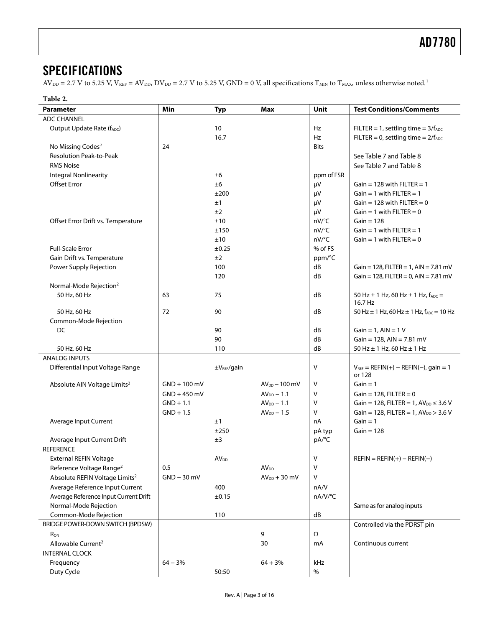### <span id="page-2-0"></span>**SPECIFICATIONS**

 $AV_{DD} = 2.7 V$  to 5.25 V,  $V_{REF} = AV_{DD}$ ,  $DV_{DD} = 2.7 V$  to 5.25 V,  $GND = 0 V$ , all specifications  $T_{MIN}$  to  $T_{MAX}$ , unless otherwise noted.<sup>[1](#page-3-0)</sup>

#### **Table 2.**

| Parameter                                  | Min            | <b>Typ</b>              | Max                | Unit       | <b>Test Conditions/Comments</b>                              |
|--------------------------------------------|----------------|-------------------------|--------------------|------------|--------------------------------------------------------------|
| <b>ADC CHANNEL</b>                         |                |                         |                    |            |                                                              |
| Output Update Rate (fADC)                  |                | 10                      |                    | Hz         | $FILTER = 1$ , settling time = $3/fADC$                      |
|                                            |                | 16.7                    |                    | Hz         | $FILTER = 0$ , settling time = $2/fADC$                      |
| No Missing Codes <sup>2</sup>              | 24             |                         |                    | Bits       |                                                              |
| <b>Resolution Peak-to-Peak</b>             |                |                         |                    |            | See Table 7 and Table 8                                      |
| <b>RMS Noise</b>                           |                |                         |                    |            | See Table 7 and Table 8                                      |
| <b>Integral Nonlinearity</b>               |                | ±6                      |                    | ppm of FSR |                                                              |
| <b>Offset Error</b>                        |                | ±6                      |                    | μV         | Gain = 128 with FILTER = 1                                   |
|                                            |                | ±200                    |                    | μV         | Gain = 1 with $FILTER = 1$                                   |
|                                            |                | ±1                      |                    | μV         | Gain = 128 with FILTER = $0$                                 |
|                                            |                | ±2                      |                    | μV         | Gain = 1 with $FILTER = 0$                                   |
| Offset Error Drift vs. Temperature         |                | ±10                     |                    | nV/°C      | $Gain = 128$                                                 |
|                                            |                | ±150                    |                    | nV/°C      | $Gain = 1$ with $FILTER = 1$                                 |
|                                            |                | ±10                     |                    | nV/°C      | Gain = 1 with $FILTER = 0$                                   |
| <b>Full-Scale Error</b>                    |                | ±0.25                   |                    | % of FS    |                                                              |
| Gain Drift vs. Temperature                 |                | ±2                      |                    | ppm/°C     |                                                              |
| Power Supply Rejection                     |                | 100                     |                    | dB         | Gain = 128, FILTER = 1, AIN = 7.81 mV                        |
|                                            |                | 120                     |                    | dB         | Gain = 128, FILTER = 0, AIN = 7.81 mV                        |
| Normal-Mode Rejection <sup>2</sup>         |                |                         |                    |            |                                                              |
| 50 Hz, 60 Hz                               | 63             | 75                      |                    | dB         | 50 Hz $\pm$ 1 Hz, 60 Hz $\pm$ 1 Hz, $f_{ADC}$ =              |
|                                            |                |                         |                    |            | 16.7 Hz                                                      |
| 50 Hz, 60 Hz                               | 72             | 90                      |                    | dB         | 50 Hz $\pm$ 1 Hz, 60 Hz $\pm$ 1 Hz, f <sub>ADC</sub> = 10 Hz |
| Common-Mode Rejection                      |                |                         |                    |            |                                                              |
| DC                                         |                | 90                      |                    | dB         | Gain = $1$ , AIN = $1$ V                                     |
|                                            |                | 90                      |                    | dB         | $Gain = 128$ , $AIN = 7.81$ mV                               |
| 50 Hz, 60 Hz                               |                | 110                     |                    | dB         | 50 Hz ± 1 Hz, 60 Hz ± 1 Hz                                   |
| <b>ANALOG INPUTS</b>                       |                |                         |                    |            |                                                              |
| Differential Input Voltage Range           |                | ±V <sub>REF</sub> /gain |                    | ٧          | $V_{REF} = REFIN(+) - REFIN(-)$ , gain = 1<br>or 128         |
| Absolute AIN Voltage Limits <sup>2</sup>   | $GND + 100$ mV |                         | $AV_{DD}$ – 100 mV | ٧          | $Gain = 1$                                                   |
|                                            | $GND + 450$ mV |                         | $AVDD - 1.1$       | v          | Gain = $128$ , FILTER = 0                                    |
|                                            | $GND + 1.1$    |                         | $AVDD - 1.1$       | ٧          | Gain = 128, FILTER = 1, $AV_{DD}$ $\leq$ 3.6 V               |
|                                            | $GND + 1.5$    |                         | $AV_{DD} - 1.5$    | v          | Gain = 128, FILTER = 1, $AV_{DD}$ > 3.6 V                    |
| Average Input Current                      |                | ±1                      |                    | nA         | $Gain = 1$                                                   |
|                                            |                | ±250                    |                    | pA typ     | $Gain = 128$                                                 |
| Average Input Current Drift                |                | ±3                      |                    | pA/°C      |                                                              |
| <b>REFERENCE</b>                           |                |                         |                    |            |                                                              |
| <b>External REFIN Voltage</b>              |                | AV <sub>DD</sub>        |                    | v          | $REFIN = REFIN(+) - REFIN(-)$                                |
| Reference Voltage Range <sup>2</sup>       | 0.5            |                         | AV <sub>DD</sub>   | V          |                                                              |
| Absolute REFIN Voltage Limits <sup>2</sup> | $GND - 30$ mV  |                         | $AV_{DD} + 30$ mV  | V          |                                                              |
| Average Reference Input Current            |                | 400                     |                    | nA/V       |                                                              |
| Average Reference Input Current Drift      |                | $\pm 0.15$              |                    | nA/V/°C    |                                                              |
| Normal-Mode Rejection                      |                |                         |                    |            | Same as for analog inputs                                    |
| Common-Mode Rejection                      |                | 110                     |                    | dB         |                                                              |
| BRIDGE POWER-DOWN SWITCH (BPDSW)           |                |                         |                    |            | Controlled via the PDRST pin                                 |
| R <sub>ON</sub>                            |                |                         | 9                  | Ω          |                                                              |
| Allowable Current <sup>2</sup>             |                |                         | 30                 | mA         | Continuous current                                           |
| <b>INTERNAL CLOCK</b>                      |                |                         |                    |            |                                                              |
| Frequency                                  | $64 - 3%$      |                         | $64 + 3%$          | kHz        |                                                              |
| Duty Cycle                                 |                | 50:50                   |                    | $\%$       |                                                              |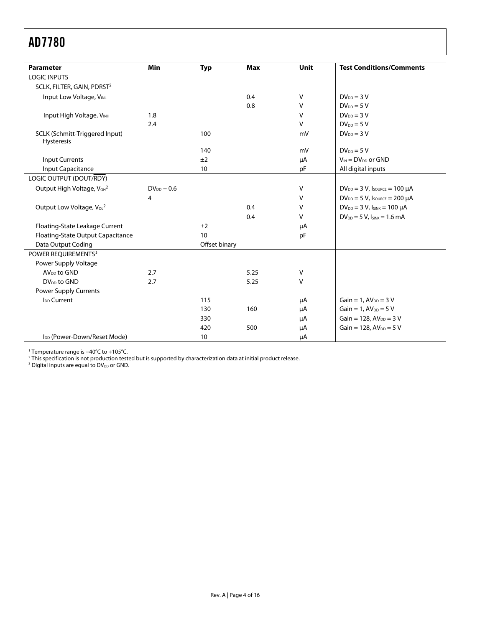<span id="page-3-0"></span>

| <b>Parameter</b>                                  | Min             | <b>Typ</b>    | <b>Max</b> | <b>Unit</b>  | <b>Test Conditions/Comments</b>          |
|---------------------------------------------------|-----------------|---------------|------------|--------------|------------------------------------------|
| <b>LOGIC INPUTS</b>                               |                 |               |            |              |                                          |
| SCLK, FILTER, GAIN, PDRST <sup>2</sup>            |                 |               |            |              |                                          |
| Input Low Voltage, VINL                           |                 |               | 0.4        | V            | $DV_{DD} = 3 V$                          |
|                                                   |                 |               | 0.8        | V            | $DV_{DD} = 5 V$                          |
| Input High Voltage, VINH                          | 1.8             |               |            | $\vee$       | $DV_{DD} = 3 V$                          |
|                                                   | 2.4             |               |            | V            | $DV_{DD} = 5 V$                          |
| SCLK (Schmitt-Triggered Input)<br>Hysteresis      |                 | 100           |            | mV           | $DV_{DD} = 3 V$                          |
|                                                   |                 | 140           |            | mV           | $DV_{DD} = 5 V$                          |
| <b>Input Currents</b>                             |                 | ±2            |            | μA           | $V_{IN} = DV_{DD}$ or GND                |
| Input Capacitance                                 |                 | 10            |            | pF           | All digital inputs                       |
| LOGIC OUTPUT (DOUT/RDY)                           |                 |               |            |              |                                          |
| Output High Voltage, V <sub>OH</sub> <sup>2</sup> | $DV_{DD} - 0.6$ |               |            | V            | $DV_{DD} = 3 V$ , Isource = 100 µA       |
|                                                   | 4               |               |            | V            | $DV_{DD} = 5 V$ , Isource = 200 µA       |
| Output Low Voltage, V <sub>oL</sub> <sup>2</sup>  |                 |               | 0.4        | V            | $DV_{DD} = 3 V$ , $I_{SINK} = 100 \mu A$ |
|                                                   |                 |               | 0.4        | $\mathsf{V}$ | $DV_{DD} = 5 V$ , $I_{SINK} = 1.6 mA$    |
| Floating-State Leakage Current                    |                 | ±2            |            | μA           |                                          |
| Floating-State Output Capacitance                 |                 | 10            |            | pF           |                                          |
| Data Output Coding                                |                 | Offset binary |            |              |                                          |
| POWER REOUIREMENTS <sup>3</sup>                   |                 |               |            |              |                                          |
| Power Supply Voltage                              |                 |               |            |              |                                          |
| AV <sub>DD</sub> to GND                           | 2.7             |               | 5.25       | V            |                                          |
| DV <sub>DD</sub> to GND                           | 2.7             |               | 5.25       | V            |                                          |
| <b>Power Supply Currents</b>                      |                 |               |            |              |                                          |
| I <sub>DD</sub> Current                           |                 | 115           |            | μA           | Gain = 1, $AV_{DD}$ = 3 V                |
|                                                   |                 | 130           | 160        | μA           | Gain = $1, AVDD = 5 V$                   |
|                                                   |                 | 330           |            | μA           | Gain = 128, $AV_{DD} = 3 V$              |
|                                                   |                 | 420           | 500        | μA           | Gain = 128, $AV_{DD} = 5 V$              |
| I <sub>DD</sub> (Power-Down/Reset Mode)           |                 | 10            |            | μA           |                                          |

1 Temperature range is −40°C to +105°C. 2

<sup>2</sup> This specification is not production tested but is supported by characterization data at initial product release.<br><sup>3</sup> Digital inputs are equal to DV<sub>DD</sub> or GND.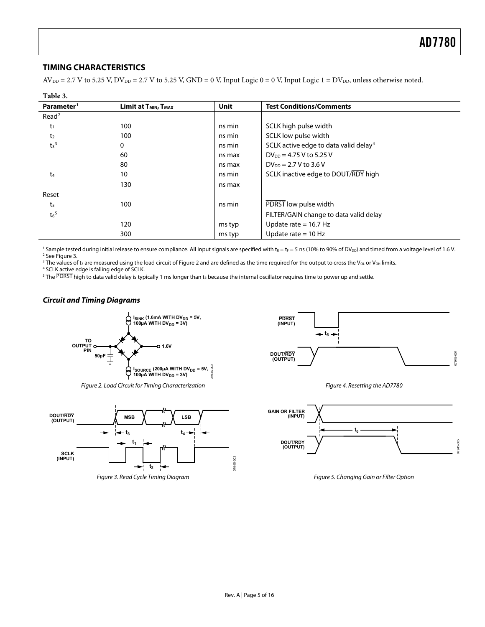#### <span id="page-4-0"></span>**TIMING CHARACTERISTICS**

 $AV_{DD} = 2.7 V$  to 5.25 V,  $DV_{DD} = 2.7 V$  to 5.25 V,  $GND = 0 V$ , Input Logic 0 = 0 V, Input Logic 1 =  $DV_{DD}$ , unless otherwise noted.

| Table 3.               |                                              |             |                                                   |  |
|------------------------|----------------------------------------------|-------------|---------------------------------------------------|--|
| Parameter <sup>1</sup> | Limit at T <sub>MIN</sub> , T <sub>MAX</sub> | <b>Unit</b> | <b>Test Conditions/Comments</b>                   |  |
| Read <sup>2</sup>      |                                              |             |                                                   |  |
| $t_1$                  | 100                                          | ns min      | SCLK high pulse width                             |  |
| t <sub>2</sub>         | 100                                          | ns min      | SCLK low pulse width                              |  |
| $t_3$ <sup>3</sup>     | 0                                            | ns min      | SCLK active edge to data valid delay <sup>4</sup> |  |
|                        | 60                                           | ns max      | $DV_{DD} = 4.75 V$ to 5.25 V                      |  |
|                        | 80                                           | ns max      | $DV_{DD} = 2.7 V$ to 3.6 V                        |  |
| t4                     | 10                                           | ns min      | SCLK inactive edge to DOUT/RDY high               |  |
|                        | 130                                          | ns max      |                                                   |  |
| Reset                  |                                              |             |                                                   |  |
| t <sub>5</sub>         | 100                                          | ns min      | PDRST low pulse width                             |  |
| $t_6{}^5$              |                                              |             | FILTER/GAIN change to data valid delay            |  |
|                        | 120                                          | ms typ      | Update rate $= 16.7$ Hz                           |  |
|                        | 300                                          | ms typ      | Update rate $= 10$ Hz                             |  |

<sup>1</sup> Sample tested during initial release to ensure compliance. All input signals are specified with t<sub>R</sub> = t<sub>F</sub> = 5 ns (10% to 90% of DV<sub>DD</sub>) and timed from a voltage level of 1.6 V.<br><sup>2</sup> See Figure 3 <sup>2</sup> See Figure 3.

<sup>3</sup> The values of t<sub>3</sub> are measured using the load circuit of Figure 2 and are defined as the time required for the output to cross the V<sub>OL</sub> or V<sub>OH</sub> limits.<br><sup>4</sup> SCLK active edge is falling edge of SCLK

<sup>4</sup> SCLK active edge is falling edge of SCLK.

 $^5$  The PDRST high to data valid delay is typically 1 ms longer than t $_6$  because the internal oscillator requires time to power up and settle.

#### **Circuit and Timing Diagrams**



Figure 2. Load Circuit for Timing Characterization

<span id="page-4-2"></span><span id="page-4-1"></span>



Figure 4. Resetting the AD7780



Figure 5. Changing Gain or Filter Option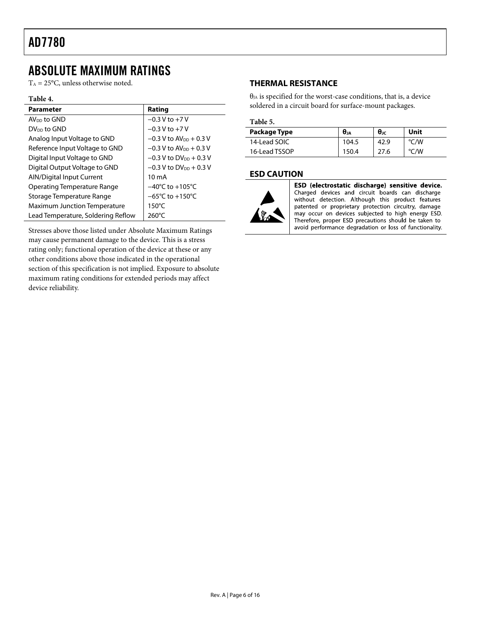### <span id="page-5-0"></span>ABSOLUTE MAXIMUM RATINGS

 $T_A = 25$ °C, unless otherwise noted.

#### **Table 4.**

| <b>Parameter</b>                    | Rating                               |
|-------------------------------------|--------------------------------------|
| AV <sub>DD</sub> to GND             | $-0.3$ V to $+7$ V                   |
| DV <sub>DD</sub> to GND             | $-0.3$ V to $+7$ V                   |
| Analog Input Voltage to GND         | $-0.3$ V to AV <sub>pp</sub> + 0.3 V |
| Reference Input Voltage to GND      | $-0.3$ V to AV <sub>pp</sub> + 0.3 V |
| Digital Input Voltage to GND        | $-0.3$ V to DV <sub>DD</sub> + 0.3 V |
| Digital Output Voltage to GND       | $-0.3$ V to DV <sub>pp</sub> + 0.3 V |
| <b>AIN/Digital Input Current</b>    | 10 <sub>m</sub> A                    |
| Operating Temperature Range         | $-40^{\circ}$ C to $+105^{\circ}$ C  |
| Storage Temperature Range           | $-65^{\circ}$ C to $+150^{\circ}$ C  |
| <b>Maximum Junction Temperature</b> | $150^{\circ}$ C                      |
| Lead Temperature, Soldering Reflow  | $260^{\circ}$ C                      |

Stresses above those listed under Absolute Maximum Ratings may cause permanent damage to the device. This is a stress rating only; functional operation of the device at these or any other conditions above those indicated in the operational section of this specification is not implied. Exposure to absolute maximum rating conditions for extended periods may affect device reliability.

#### **THERMAL RESISTANCE**

 $\theta_{JA}$  is specified for the worst-case conditions, that is, a device soldered in a circuit board for surface-mount packages.

#### **Table 5.**

| Package Type  | $\theta_{JA}$ | $θ$ ις | Unit |
|---------------|---------------|--------|------|
| 14-Lead SOIC  | 104.5         | 42.9   | °C/W |
| 16-Lead TSSOP | 150.4         | 27.6   | °C/W |

#### **ESD CAUTION**



ESD (electrostatic discharge) sensitive device. Charged devices and circuit boards can discharge<br>without detection. Although this product features patented or proprietary protection circuitry, damage may occur on devices subjected to high energy ESD. Therefore, proper ESD precautions should be taken to avoid performance degradation or loss of functionality.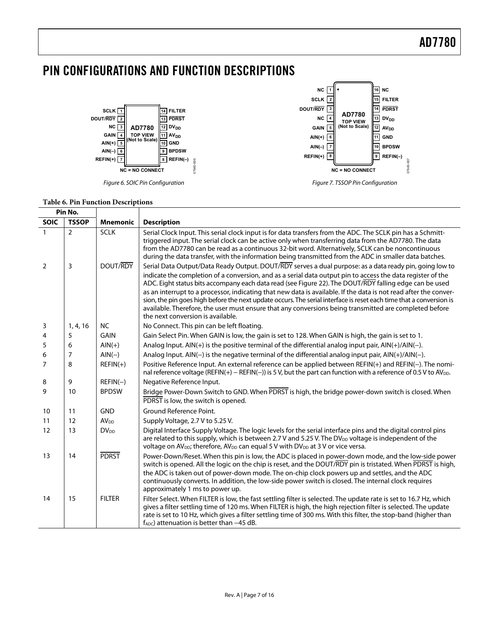### <span id="page-6-0"></span>PIN CONFIGURATIONS AND FUNCTION DESCRIPTIONS



Figure 6. SOIC Pin Configuration **Figure 7. TSSOP Pin Configuration** 



#### **Table 6. Pin Function Descriptions**

|                | Pin No.        |                        |                                                                                                                                                                                                                                                                                                                                                                                                                                                                                                                                                                                                                                                                                                                            |
|----------------|----------------|------------------------|----------------------------------------------------------------------------------------------------------------------------------------------------------------------------------------------------------------------------------------------------------------------------------------------------------------------------------------------------------------------------------------------------------------------------------------------------------------------------------------------------------------------------------------------------------------------------------------------------------------------------------------------------------------------------------------------------------------------------|
| <b>SOIC</b>    | <b>TSSOP</b>   | <b>Mnemonic</b>        | <b>Description</b>                                                                                                                                                                                                                                                                                                                                                                                                                                                                                                                                                                                                                                                                                                         |
| $\mathbf{1}$   | $\overline{2}$ | <b>SCLK</b>            | Serial Clock Input. This serial clock input is for data transfers from the ADC. The SCLK pin has a Schmitt-<br>triggered input. The serial clock can be active only when transferring data from the AD7780. The data<br>from the AD7780 can be read as a continuous 32-bit word. Alternatively, SCLK can be noncontinuous<br>during the data transfer, with the information being transmitted from the ADC in smaller data batches.                                                                                                                                                                                                                                                                                        |
| $\overline{2}$ | 3              | DOUT/RDY               | Serial Data Output/Data Ready Output. DOUT/RDY serves a dual purpose: as a data ready pin, going low to<br>indicate the completion of a conversion, and as a serial data output pin to access the data register of the<br>ADC. Eight status bits accompany each data read (see Figure 22). The DOUT/RDY falling edge can be used<br>as an interrupt to a processor, indicating that new data is available. If the data is not read after the conver-<br>sion, the pin goes high before the next update occurs. The serial interface is reset each time that a conversion is<br>available. Therefore, the user must ensure that any conversions being transmitted are completed before<br>the next conversion is available. |
| 3              | 1, 4, 16       | <b>NC</b>              | No Connect. This pin can be left floating.                                                                                                                                                                                                                                                                                                                                                                                                                                                                                                                                                                                                                                                                                 |
| 4              | 5              | <b>GAIN</b>            | Gain Select Pin. When GAIN is low, the gain is set to 128. When GAIN is high, the gain is set to 1.                                                                                                                                                                                                                                                                                                                                                                                                                                                                                                                                                                                                                        |
| 5              | 6              | $AlN(+)$               | Analog Input. AIN(+) is the positive terminal of the differential analog input pair, AIN(+)/AIN(-).                                                                                                                                                                                                                                                                                                                                                                                                                                                                                                                                                                                                                        |
| 6              | 7              | $AIN(-)$               | Analog Input. AIN(-) is the negative terminal of the differential analog input pair, AIN(+)/AIN(-).                                                                                                                                                                                                                                                                                                                                                                                                                                                                                                                                                                                                                        |
| $\overline{7}$ | 8              | $REFIN(+)$             | Positive Reference Input. An external reference can be applied between REFIN(+) and REFIN(-). The nomi-<br>nal reference voltage (REFIN(+) - REFIN(-)) is 5 V, but the part can function with a reference of 0.5 V to AV <sub>DD</sub> .                                                                                                                                                                                                                                                                                                                                                                                                                                                                                   |
| 8              | 9              | $REFIN(-)$             | Negative Reference Input.                                                                                                                                                                                                                                                                                                                                                                                                                                                                                                                                                                                                                                                                                                  |
| 9              | 10             | <b>BPDSW</b>           | Bridge Power-Down Switch to GND. When PDRST is high, the bridge power-down switch is closed. When<br>PDRST is low, the switch is opened.                                                                                                                                                                                                                                                                                                                                                                                                                                                                                                                                                                                   |
| 10             | 11             | <b>GND</b>             | Ground Reference Point.                                                                                                                                                                                                                                                                                                                                                                                                                                                                                                                                                                                                                                                                                                    |
| 11             | 12             | <b>AV<sub>DD</sub></b> | Supply Voltage, 2.7 V to 5.25 V.                                                                                                                                                                                                                                                                                                                                                                                                                                                                                                                                                                                                                                                                                           |
| 12             | 13             | <b>DV<sub>DD</sub></b> | Digital Interface Supply Voltage. The logic levels for the serial interface pins and the digital control pins<br>are related to this supply, which is between 2.7 V and 5.25 V. The DV <sub>DD</sub> voltage is independent of the<br>voltage on $AV_{DD}$ ; therefore, $AV_{DD}$ can equal 5 V with $DV_{DD}$ at 3 V or vice versa.                                                                                                                                                                                                                                                                                                                                                                                       |
| 13             | 14             | <b>PDRST</b>           | Power-Down/Reset. When this pin is low, the ADC is placed in power-down mode, and the low-side power<br>switch is opened. All the logic on the chip is reset, and the DOUT/RDY pin is tristated. When PDRST is high,<br>the ADC is taken out of power-down mode. The on-chip clock powers up and settles, and the ADC<br>continuously converts. In addition, the low-side power switch is closed. The internal clock requires<br>approximately 1 ms to power up.                                                                                                                                                                                                                                                           |
| 14             | 15             | <b>FILTER</b>          | Filter Select. When FILTER is low, the fast settling filter is selected. The update rate is set to 16.7 Hz, which<br>gives a filter settling time of 120 ms. When FILTER is high, the high rejection filter is selected. The update<br>rate is set to 10 Hz, which gives a filter settling time of 300 ms. With this filter, the stop-band (higher than<br>$f_{ADC}$ ) attenuation is better than $-45$ dB.                                                                                                                                                                                                                                                                                                                |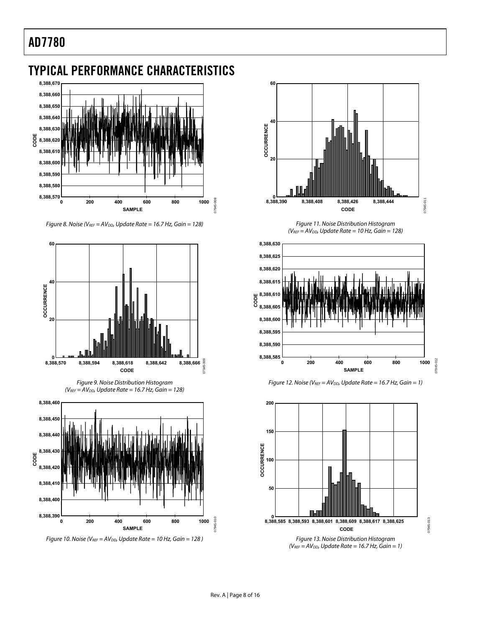### <span id="page-7-0"></span>TYPICAL PERFORMANCE CHARACTERISTICS



Figure 8. Noise (VREF =  $AV_{DD}$ , Update Rate = 16.7 Hz, Gain = 128)







Figure 10. Noise ( $V_{REF} = AV_{DD}$ , Update Rate = 10 Hz, Gain = 128)



Figure 11. Noise Distribution Histogram  $(V_{REF} = AV_{DD}$ , Update Rate = 10 Hz, Gain = 128)







 $(V_{REF} = AV_{DD}$ , Update Rate = 16.7 Hz, Gain = 1)

07945-013

7945-013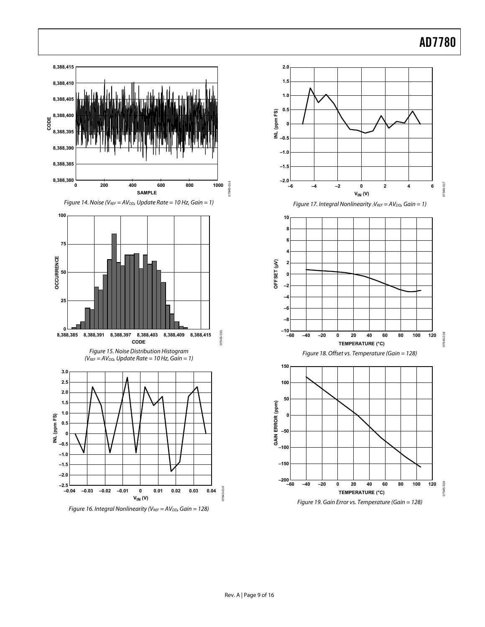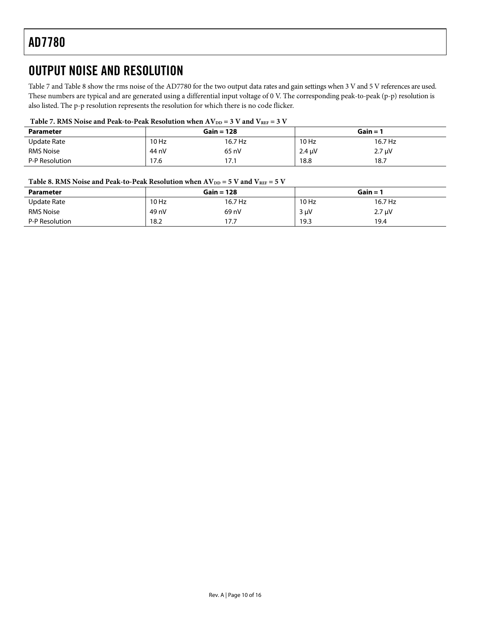### <span id="page-9-0"></span>OUTPUT NOISE AND RESOLUTION

[Table 7](#page-9-1) and [Table 8](#page-9-2) show the rms noise of the AD7780 for the two output data rates and gain settings when 3 V and 5 V references are used. These numbers are typical and are generated using a differential input voltage of 0 V. The corresponding peak-to-peak (p-p) resolution is also listed. The p-p resolution represents the resolution for which there is no code flicker.

#### Table 7. RMS Noise and Peak-to-Peak Resolution when  $AV_{DD} = 3 V$  and  $V_{REF} = 3 V$

<span id="page-9-1"></span>

| <b>Parameter</b>   |       | $Gain = 128$ |             | Gain $=$ $\dot{\phantom{a}}$ |  |
|--------------------|-------|--------------|-------------|------------------------------|--|
| <b>Update Rate</b> | 10 Hz | 16.7 Hz      | 10 Hz       | 16.7 Hz                      |  |
| <b>RMS Noise</b>   | 44 nV | 65 nV        | $2.4 \mu V$ | $2.7 \mu V$                  |  |
| P-P Resolution     | 17.6  | 17.1         | 18.8        | 18.7                         |  |

#### Table 8. RMS Noise and Peak-to-Peak Resolution when  $AV_{DD} = 5 V$  and  $V_{REF} = 5 V$

<span id="page-9-2"></span>

| <b>Parameter</b> |       | $Gain = 128$ |           | $Gain =$    |
|------------------|-------|--------------|-----------|-------------|
| Update Rate      | 10 Hz | 16.7 Hz      | 10 Hz     | 16.7 Hz     |
| <b>RMS Noise</b> | 49 nV | 69 nV        | $3 \mu V$ | $2.7 \mu V$ |
| P-P Resolution   | 18.2  | 177<br>11.1  | 19.3      | 19.4        |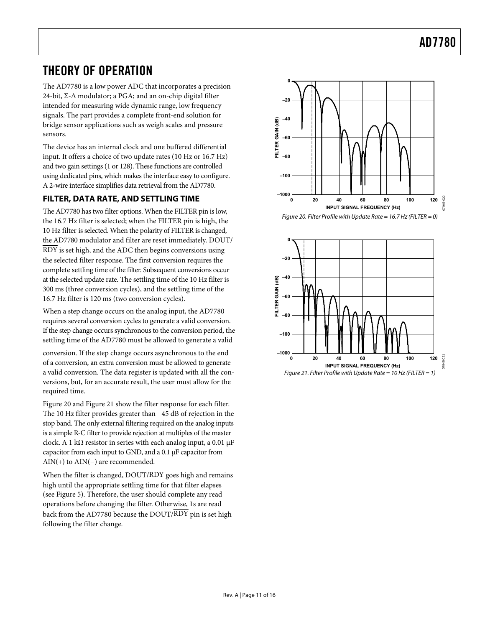### <span id="page-10-0"></span>THEORY OF OPERATION

The AD7780 is a low power ADC that incorporates a precision 24-bit, Σ-Δ modulator; a PGA; and an on-chip digital filter intended for measuring wide dynamic range, low frequency signals. The part provides a complete front-end solution for bridge sensor applications such as weigh scales and pressure sensors.

The device has an internal clock and one buffered differential input. It offers a choice of two update rates (10 Hz or 16.7 Hz) and two gain settings (1 or 128). These functions are controlled using dedicated pins, which makes the interface easy to configure. A 2-wire interface simplifies data retrieval from the AD7780.

#### **FILTER, DATA RATE, AND SETTLING TIME**

<span id="page-10-1"></span>The AD7780 has two filter options. When the FILTER pin is low, the 16.7 Hz filter is selected; when the FILTER pin is high, the 10 Hz filter is selected. When the polarity of FILTER is changed, the AD7780 modulator and filter are reset immediately. DOUT/ RDY is set high, and the ADC then begins conversions using the selected filter response. The first conversion requires the complete settling time of the filter. Subsequent conversions occur at the selected update rate. The settling time of the 10 Hz filter is 300 ms (three conversion cycles), and the settling time of the 16.7 Hz filter is 120 ms (two conversion cycles).

When a step change occurs on the analog input, the AD7780 requires several conversion cycles to generate a valid conversion. If the step change occurs synchronous to the conversion period, the settling time of the AD7780 must be allowed to generate a valid

<span id="page-10-2"></span>conversion. If the step change occurs asynchronous to the end of a conversion, an extra conversion must be allowed to generate a valid conversion. The data register is updated with all the conversions, but, for an accurate result, the user must allow for the required time.

[Figure 20](#page-10-1) and [Figure 21](#page-10-2) show the filter response for each filter. The 10 Hz filter provides greater than −45 dB of rejection in the stop band. The only external filtering required on the analog inputs is a simple R-C filter to provide rejection at multiples of the master clock. A 1 kΩ resistor in series with each analog input, a 0.01  $\mu$ F capacitor from each input to GND, and a 0.1 μF capacitor from  $AIN(+)$  to  $AIN(-)$  are recommended.

When the filter is changed, DOUT/RDY goes high and remains high until the appropriate settling time for that filter elapses (seeFigure 5). Therefore, the user should complete any read operations before changing the filter. Otherwise, 1s are read back from the AD7780 because the DOUT/ RDY pin is set high following the filter change.



Figure 20. Filter Profile with Update Rate = 16.7 Hz (FILTER = 0)

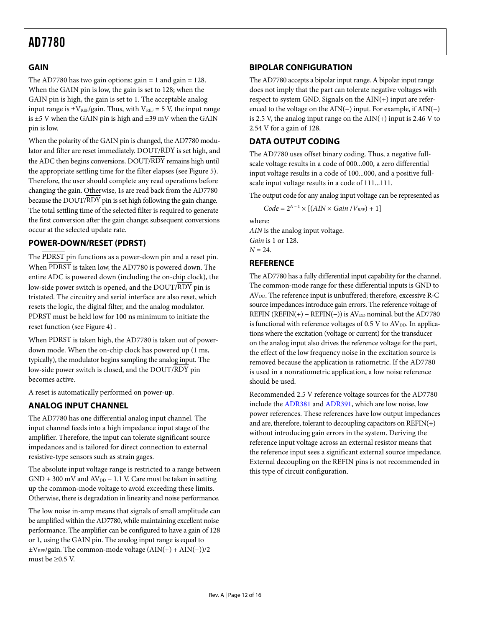#### <span id="page-11-1"></span><span id="page-11-0"></span>**[GAIN](#page-0-0)**

The AD7780 has two gain options:  $gain = 1$  and  $gain = 128$ . When the GAIN pin is low, the gain is set to 128; when the GAIN pin is high, the gain is set to 1. The acceptable analog input range is  $\pm V_{REF}/g$ ain. Thus, with  $V_{REF} = 5$  V, the input range is  $\pm$ 5 V when the GAIN pin is high and  $\pm$ 39 mV when the GAIN pin is low.

When the polarity of the GAIN pin is changed, the AD7780 modulator and filter are reset immediately. DOUT/RDY is set high, and the ADC then begins conversions. DOUT/RDY remains high until the appropriate settling time for the filter elapses (see Figure 5[\)](#page-4-1). Therefore, the user should complete any read operations before changing the gain. Otherwise, 1s are read back from the AD7780 because the DOUT/ RDY pin is set high following the gain change. The total settling time of the selected filter is required to generate the first conversion after the gain change; subsequent conversions occur at the selected update rate.

#### **POWER-DOWN/RESET (PDRST)**

The PDRST pin functions as a power-down pin and a reset pin. When PDRST is taken low, the AD7780 is powered down. The entire ADC is powered down (including the on-chip clock), the low-side power switch is opened, and the DOUT/RDY pin is tristated. The circuitry and serial interface are also reset, which resets the logic, the digital filter, and the analog modulator. PDRST must be held low for 100 ns minimum to initiate the reset function (see [Figure 4\)](#page-4-2) .

When PDRST is taken high, the AD7780 is taken out of powerdown mode. When the on-chip clock has powered up (1 ms, typically), the modulator begins sampling the analog input. The low-side power switch is closed, and the DOUT/RDY pin becomes active.

A reset is automatically performed on power-up.

#### **ANALOG INPUT CHANNEL**

The AD7780 has one differential analog input channel. The input channel feeds into a high impedance input stage of the amplifier. Therefore, the input can tolerate significant source impedances and is tailored for direct connection to external resistive-type sensors such as strain gages.

The absolute input voltage range is restricted to a range between  $GND + 300$  mV and  $AV_{DD} - 1.1$  V. Care must be taken in setting up the common-mode voltage to avoid exceeding these limits. Otherwise, there is degradation in linearity and noise performance.

The low noise in-amp means that signals of small amplitude can be amplified within the AD7780, while maintaining excellent noise performance. The amplifier can be configured to have a gain of 128 or 1, using the GAIN pin. The analog input range is equal to  $\pm V_{REF}/$ gain. The common-mode voltage (AIN(+) + AIN(−))/2 must be  $\geq 0.5$  V.

#### **BIPOLAR CONFIGURATION**

The AD7780 accepts a bipolar input range. A bipolar input range does not imply that the part can tolerate negative voltages with respect to system GND. Signals on the AIN(+) input are referenced to the voltage on the AIN(−) input. For example, if AIN(−) is 2.5 V, the analog input range on the AIN(+) input is 2.46 V to 2.54 V for a gain of 128.

#### **DATA OUTPUT CODING**

The AD7780 uses offset binary coding. Thus, a negative fullscale voltage results in a code of 000...000, a zero differential input voltage results in a code of 100...000, and a positive fullscale input voltage results in a code of 111...111.

The output code for any analog input voltage can be represented as

 $Code = 2^{N-1} \times [(AIN \times Gain / V_{REF}) + 1]$ 

where:

*AIN* is the analog input voltage. *Gain* is 1 or 128.  $N = 24$ .

#### **REFERENCE**

The AD7780 has a fully differential input capability for the channel. The common-mode range for these differential inputs is GND to AV<sub>DD</sub>. The reference input is unbuffered; therefore, excessive R-C source impedances introduce gain errors. The reference voltage of REFIN (REFIN(+) – REFIN(−)) is  $AV<sub>DD</sub>$  nominal, but the AD7780 is functional with reference voltages of  $0.5$  V to  $AV<sub>DD</sub>$ . In applications where the excitation (voltage or current) for the transducer on the analog input also drives the reference voltage for the part, the effect of the low frequency noise in the excitation source is removed because the application is ratiometric. If the AD7780 is used in a nonratiometric application, a low noise reference should be used.

Recommended 2.5 V reference voltage sources for the AD7780 include the [ADR381](http://www.analog.com/ADR381) and [ADR391,](http://www.analog.com/ADR391) which are low noise, low power references. These references have low output impedances and are, therefore, tolerant to decoupling capacitors on  $REFIN(+)$ without introducing gain errors in the system. Deriving the reference input voltage across an external resistor means that the reference input sees a significant external source impedance. External decoupling on the REFIN pins is not recommended in this type of circuit configuration.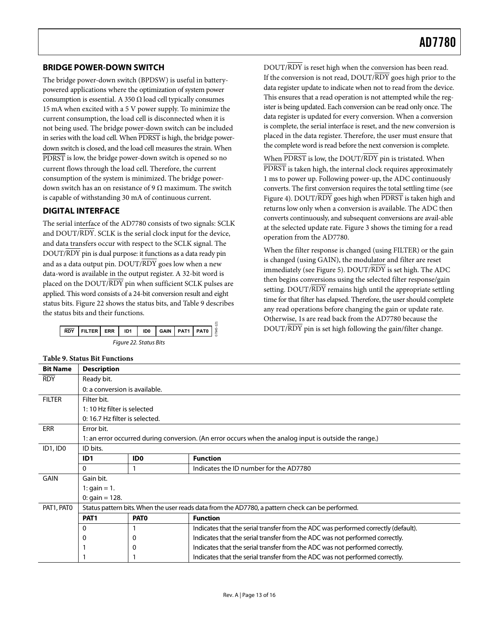#### <span id="page-12-0"></span>**BRIDGE POWER-DOWN SWITCH**

The bridge power-down switch (BPDSW) is useful in batterypowered applications where the optimization of system power consumption is essential. A 350  $\Omega$  load cell typically consumes 15 mA when excited with a 5 V power supply. To minimize the current consumption, the load cell is disconnected when it is not being used. The bridge power-down switch can be included in series with the load cell. When PDRST is high, the bridge powerdown switch is closed, and the load cell measures the strain. When PDRST is low, the bridge power-down switch is opened so no current flows through the load cell. Therefore, the current consumption of the system is minimized. The bridge powerdown switch has an on resistance of 9  $\Omega$  maximum. The switch is capable of withstanding 30 mA of continuous current.

#### **DIGITAL INTERFACE**

The serial interface of the AD7780 consists of two signals: SCLK and DOUT/RDY. SCLK is the serial clock input for the device, and data transfers occur with respect to the SCLK signal. The DOUT/RDY pin is dual purpose: it functions as a data ready pin and as a data output pin.  $DOUT/RDY$  goes low when a new data-word is available in the output register. A 32-bit word is placed on the DOUT/RDY pin when sufficient SCLK pulses are applied. This word consists of a 24-bit conversion result and eight statusbits. Figure 22 shows the status bits, and Table 9 describes the status bits and their functions.

|                        | $\overline{RDY}$ FILTER ERR ID1 ID0 GAIN PAT1 PAT0 $\frac{1}{3}$ |  |  |  |  |  |  |  |  |
|------------------------|------------------------------------------------------------------|--|--|--|--|--|--|--|--|
| Figure 22. Status Bits |                                                                  |  |  |  |  |  |  |  |  |

DOUT/RDY is reset high when the conversion has been read. If the conversion is not read, DOUT/RDY goes high prior to the data register update to indicate when not to read from the device. This ensures that a read operation is not attempted while the register is being updated. Each conversion can be read only once. The data register is updated for every conversion. When a conversion is complete, the serial interface is reset, and the new conversion is placed in the data register. Therefore, the user must ensure that the complete word is read before the next conversion is complete.

When PDRST is low, the DOUT/RDY pin is tristated. When PDRST is taken high, the internal clock requires approximately 1 ms to power up. Following power-up, the ADC continuously converts. The first conversion requires the total settling time (see [Figure 4](#page-4-2)). DOUT/RDY goes high when PDRST is taken high and returns low only when a conversion is available. The ADC then converts continuously, and subsequent conversions are avail-able atthe selected update rate. Figure 3 shows the timing for a read operation from the AD7780.

When the filter response is changed (using FILTER) or the gain is changed (using GAIN), the modulator and filter are reset immediately (see [Figure 5](#page-4-1)). DOUT/RDY is set high. The ADC then begins conversions using the selected filter response/gain setting. DOUT/RDY remains high until the appropriate settling time for that filter has elapsed. Therefore, the user should complete any read operations before changing the gain or update rate. Otherwise, 1s are read back from the AD7780 because the DOUT/RDY pin is set high following the gain/filter change.

<span id="page-12-2"></span><span id="page-12-1"></span>

| <b>Table 9. Status Bit Functions</b> |                                                                                                       |             |                                                                                    |  |  |  |  |
|--------------------------------------|-------------------------------------------------------------------------------------------------------|-------------|------------------------------------------------------------------------------------|--|--|--|--|
| <b>Bit Name</b>                      | <b>Description</b>                                                                                    |             |                                                                                    |  |  |  |  |
| <b>RDY</b>                           | Ready bit.                                                                                            |             |                                                                                    |  |  |  |  |
|                                      | 0: a conversion is available.                                                                         |             |                                                                                    |  |  |  |  |
| <b>FILTER</b>                        | Filter bit.                                                                                           |             |                                                                                    |  |  |  |  |
|                                      | 1:10 Hz filter is selected                                                                            |             |                                                                                    |  |  |  |  |
|                                      | 0: 16.7 Hz filter is selected.                                                                        |             |                                                                                    |  |  |  |  |
| <b>ERR</b>                           | Error bit.                                                                                            |             |                                                                                    |  |  |  |  |
|                                      | 1: an error occurred during conversion. (An error occurs when the analog input is outside the range.) |             |                                                                                    |  |  |  |  |
| ID1, ID0                             | ID bits.                                                                                              |             |                                                                                    |  |  |  |  |
|                                      | ID <sub>1</sub>                                                                                       | <b>IDO</b>  | <b>Function</b>                                                                    |  |  |  |  |
|                                      | $\Omega$                                                                                              |             | Indicates the ID number for the AD7780                                             |  |  |  |  |
| <b>GAIN</b>                          | Gain bit.                                                                                             |             |                                                                                    |  |  |  |  |
|                                      | 1: $gain = 1$ .                                                                                       |             |                                                                                    |  |  |  |  |
|                                      | 0: $gain = 128$ .                                                                                     |             |                                                                                    |  |  |  |  |
| PAT1, PAT0                           | Status pattern bits. When the user reads data from the AD7780, a pattern check can be performed.      |             |                                                                                    |  |  |  |  |
|                                      | PAT <sub>1</sub>                                                                                      | <b>PATO</b> | <b>Function</b>                                                                    |  |  |  |  |
|                                      | 0                                                                                                     |             | Indicates that the serial transfer from the ADC was performed correctly (default). |  |  |  |  |
|                                      | 0                                                                                                     | 0           | Indicates that the serial transfer from the ADC was not performed correctly.       |  |  |  |  |
| 0                                    |                                                                                                       |             | Indicates that the serial transfer from the ADC was not performed correctly.       |  |  |  |  |
|                                      |                                                                                                       |             | Indicates that the serial transfer from the ADC was not performed correctly.       |  |  |  |  |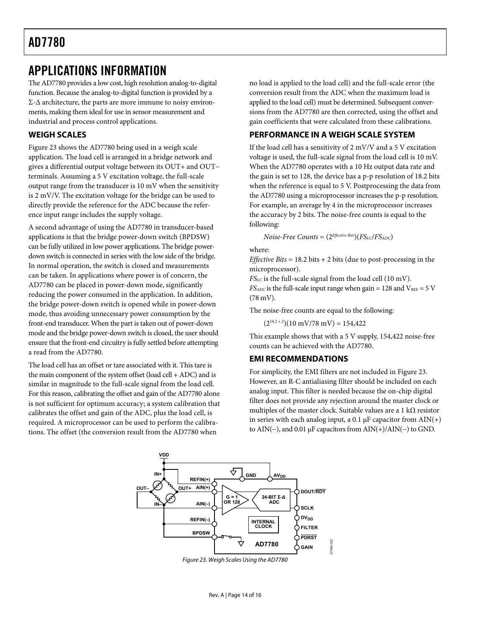### <span id="page-13-1"></span><span id="page-13-0"></span>APPLICATIONS INFORMATION

The AD7780 provides a low cost, high resolution analog-to-digital function. Because the analog-to-digital function is provided by a  $Σ$ - $Δ$  architecture, the parts are more immune to noisy environments, making them ideal for use in sensor measurement and industrial and process control applications.

#### **WEIGH SCALES**

[Figure 23](#page-13-2) shows the AD7780 being used in a weigh scale application. The load cell is arranged in a bridge network and gives a differential output voltage between its OUT+ and OUT− terminals. Assuming a 5 V excitation voltage, the full-scale output range from the transducer is 10 mV when the sensitivity is 2 mV/V. The excitation voltage for the bridge can be used to directly provide the reference for the ADC because the reference input range includes the supply voltage.

A second advantage of using the AD7780 in transducer-based applications is that the bridge power-down switch (BPDSW) can be fully utilized in low power applications. The bridge powerdown switch is connected in series with the low side of the bridge. In normal operation, the switch is closed and measurements can be taken. In applications where power is of concern, the AD7780 can be placed in power-down mode, significantly reducing the power consumed in the application. In addition, the bridge power-down switch is opened while in power-down mode, thus avoiding unnecessary power consumption by the front-end transducer. When the part is taken out of power-down mode and the bridge power-down switch is closed, the user should ensure that the front-end circuitry is fully settled before attempting a read from the AD7780.

The load cell has an offset or tare associated with it. This tare is the main component of the system offset (load cell + ADC) and is similar in magnitude to the full-scale signal from the load cell. For this reason, calibrating the offset and gain of the AD7780 alone is not sufficient for optimum accuracy; a system calibration that calibrates the offset and gain of the ADC, plus the load cell, is required. A microprocessor can be used to perform the calibrations. The offset (the conversion result from the AD7780 when

no load is applied to the load cell) and the full-scale error (the conversion result from the ADC when the maximum load is applied to the load cell) must be determined. Subsequent conversions from the AD7780 are then corrected, using the offset and gain coefficients that were calculated from these calibrations.

#### **PERFORMANCE IN A WEIGH SCALE SYSTEM**

If the load cell has a sensitivity of 2 mV/V and a 5 V excitation voltage is used, the full-scale signal from the load cell is 10 mV. When the AD7780 operates with a 10 Hz output data rate and the gain is set to 128, the device has a p-p resolution of 18.2 bits when the reference is equal to 5 V. Postprocessing the data from the AD7780 using a microprocessor increases the p-p resolution. For example, an average by 4 in the microprocessor increases the accuracy by 2 bits. The noise-free counts is equal to the following:

*Noise-Free Counts* = (2*Effective Bits*)(*FSLC*/*FSADC*)

where:

*Effective Bits* = 18.2 bits + 2 bits (due to post-processing in the microprocessor).

*FSLC* is the full-scale signal from the load cell (10 mV).  $FS_{ADC}$  is the full-scale input range when gain = 128 and  $V_{REF}$  = 5 V (78 mV).

The noise-free counts are equal to the following:

 $(2^{18.2+2})(10 \text{ mV}/78 \text{ mV}) = 154,422$ 

This example shows that with a 5 V supply, 154,422 noise-free counts can be achieved with the AD7780.

#### **EMI RECOMMENDATIONS**

For simplicity, the EMI filters are not included in [Figure 23.](#page-13-2) However, an R-C antialiasing filter should be included on each analog input. This filter is needed because the on-chip digital filter does not provide any rejection around the master clock or multiples of the master clock. Suitable values are a 1 k $\Omega$  resistor in series with each analog input, a 0.1  $\mu$ F capacitor from AIN(+) to AIN(−), and 0.01 μF capacitors from AIN(+)/AIN(−) to GND.

<span id="page-13-2"></span>

Figure 23. Weigh Scales Using the AD7780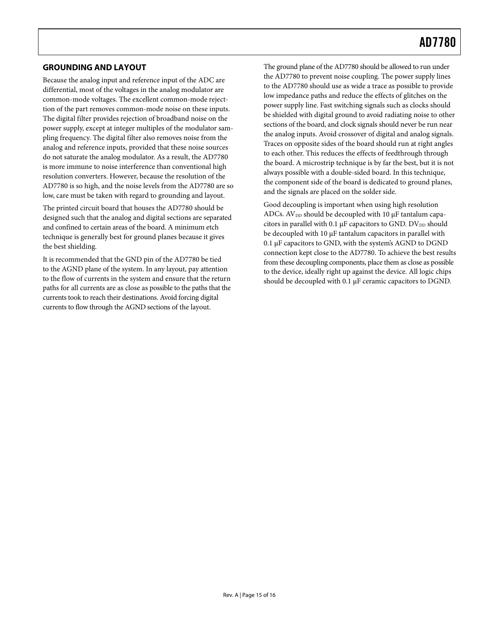#### <span id="page-14-0"></span>**GROUNDING AND LAYOUT**

Because the analog input and reference input of the ADC are differential, most of the voltages in the analog modulator are common-mode voltages. The excellent common-mode rejecttion of the part removes common-mode noise on these inputs. The digital filter provides rejection of broadband noise on the power supply, except at integer multiples of the modulator sampling frequency. The digital filter also removes noise from the analog and reference inputs, provided that these noise sources do not saturate the analog modulator. As a result, the AD7780 is more immune to noise interference than conventional high resolution converters. However, because the resolution of the AD7780 is so high, and the noise levels from the AD7780 are so low, care must be taken with regard to grounding and layout.

The printed circuit board that houses the AD7780 should be designed such that the analog and digital sections are separated and confined to certain areas of the board. A minimum etch technique is generally best for ground planes because it gives the best shielding.

It is recommended that the GND pin of the AD7780 be tied to the AGND plane of the system. In any layout, pay attention to the flow of currents in the system and ensure that the return paths for all currents are as close as possible to the paths that the currents took to reach their destinations. Avoid forcing digital currents to flow through the AGND sections of the layout.

The ground plane of the AD7780 should be allowed to run under the AD7780 to prevent noise coupling. The power supply lines to the AD7780 should use as wide a trace as possible to provide low impedance paths and reduce the effects of glitches on the power supply line. Fast switching signals such as clocks should be shielded with digital ground to avoid radiating noise to other sections of the board, and clock signals should never be run near the analog inputs. Avoid crossover of digital and analog signals. Traces on opposite sides of the board should run at right angles to each other. This reduces the effects of feedthrough through the board. A microstrip technique is by far the best, but it is not always possible with a double-sided board. In this technique, the component side of the board is dedicated to ground planes, and the signals are placed on the solder side.

Good decoupling is important when using high resolution ADCs.  $AV_{DD}$  should be decoupled with 10  $\mu$ F tantalum capacitors in parallel with 0.1  $\mu$ F capacitors to GND. DV<sub>DD</sub> should be decoupled with 10 μF tantalum capacitors in parallel with 0.1 μF capacitors to GND, with the system's AGND to DGND connection kept close to the AD7780. To achieve the best results from these decoupling components, place them as close as possible to the device, ideally right up against the device. All logic chips should be decoupled with 0.1 μF ceramic capacitors to DGND.